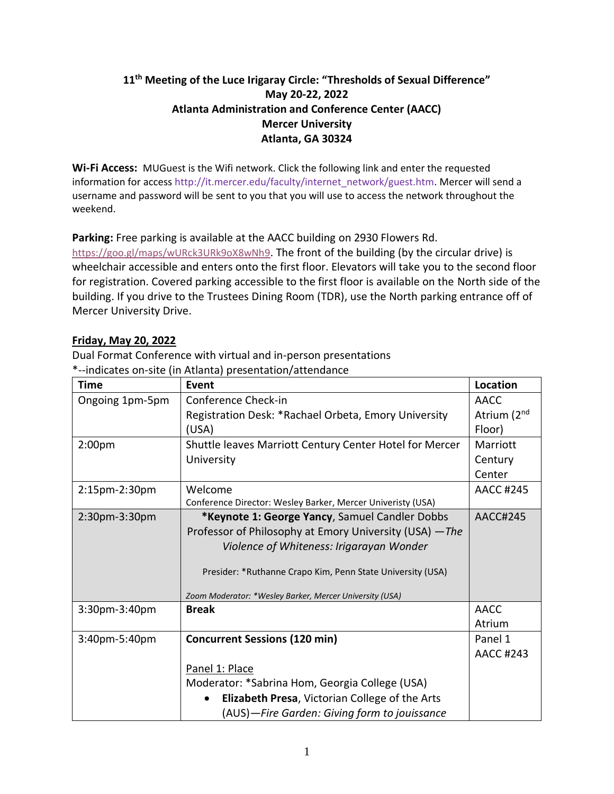# **11th Meeting of the Luce Irigaray Circle: "Thresholds of Sexual Difference" May 20-22, 2022 Atlanta Administration and Conference Center (AACC) Mercer University Atlanta, GA 30324**

**Wi-Fi Access:** MUGuest is the Wifi network. Click the following link and enter the requested information for access [http://it.mercer.edu/faculty/internet\\_network/guest.htm.](http://it.mercer.edu/faculty/internet_network/guest.htm) Mercer will send a username and password will be sent to you that you will use to access the network throughout the weekend.

**Parking:** Free parking is available at the AACC building on 2930 Flowers Rd.

<https://goo.gl/maps/wURck3URk9oX8wNh9>. The front of the building (by the circular drive) is wheelchair accessible and enters onto the first floor. Elevators will take you to the second floor for registration. Covered parking accessible to the first floor is available on the North side of the building. If you drive to the Trustees Dining Room (TDR), use the North parking entrance off of Mercer University Drive.

# **Friday, May 20, 2022**

Dual Format Conference with virtual and in-person presentations \*--indicates on-site (in Atlanta) presentation/attendance

| <b>Time</b>        | Event                                                       | <b>Location</b>         |
|--------------------|-------------------------------------------------------------|-------------------------|
| Ongoing 1pm-5pm    | Conference Check-in                                         | <b>AACC</b>             |
|                    | Registration Desk: *Rachael Orbeta, Emory University        | Atrium (2 <sup>nd</sup> |
|                    | (USA)                                                       | Floor)                  |
| 2:00 <sub>pm</sub> | Shuttle leaves Marriott Century Center Hotel for Mercer     | Marriott                |
|                    | University                                                  | Century                 |
|                    |                                                             | Center                  |
| 2:15pm-2:30pm      | Welcome                                                     | <b>AACC #245</b>        |
|                    | Conference Director: Wesley Barker, Mercer Univeristy (USA) |                         |
| 2:30pm-3:30pm      | *Keynote 1: George Yancy, Samuel Candler Dobbs              | AACC#245                |
|                    | Professor of Philosophy at Emory University (USA) - The     |                         |
|                    | Violence of Whiteness: Irigarayan Wonder                    |                         |
|                    | Presider: *Ruthanne Crapo Kim, Penn State University (USA)  |                         |
|                    | Zoom Moderator: *Wesley Barker, Mercer University (USA)     |                         |
| 3:30pm-3:40pm      | <b>Break</b>                                                | <b>AACC</b>             |
|                    |                                                             | Atrium                  |
| 3:40pm-5:40pm      | <b>Concurrent Sessions (120 min)</b>                        | Panel 1                 |
|                    |                                                             | <b>AACC #243</b>        |
|                    | Panel 1: Place                                              |                         |
|                    | Moderator: *Sabrina Hom, Georgia College (USA)              |                         |
|                    | Elizabeth Presa, Victorian College of the Arts              |                         |
|                    | (AUS)-Fire Garden: Giving form to jouissance                |                         |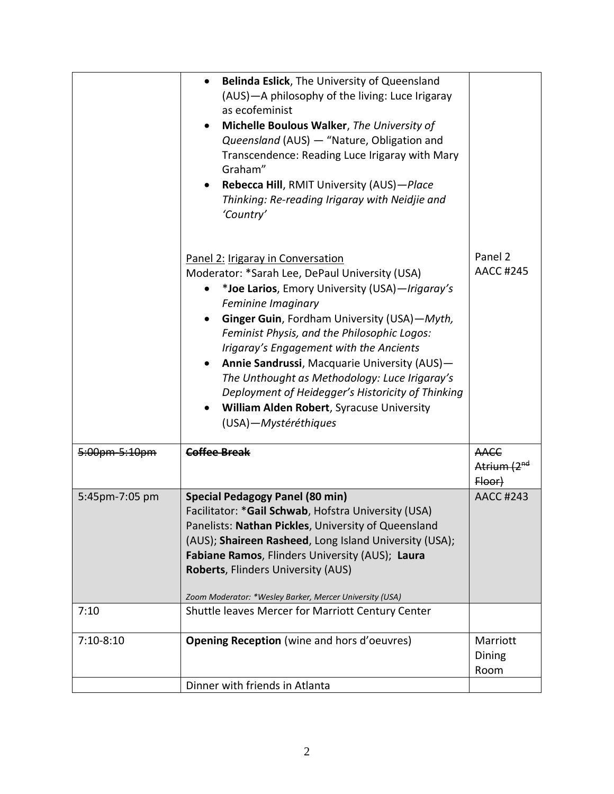|                | Belinda Eslick, The University of Queensland<br>$\bullet$<br>(AUS) - A philosophy of the living: Luce Irigaray<br>as ecofeminist<br>Michelle Boulous Walker, The University of<br>Queensland (AUS) - "Nature, Obligation and<br>Transcendence: Reading Luce Irigaray with Mary<br>Graham"<br>Rebecca Hill, RMIT University (AUS)-Place<br>$\bullet$<br>Thinking: Re-reading Irigaray with Neidjie and<br>'Country'                                                                                                                           |                                                  |
|----------------|----------------------------------------------------------------------------------------------------------------------------------------------------------------------------------------------------------------------------------------------------------------------------------------------------------------------------------------------------------------------------------------------------------------------------------------------------------------------------------------------------------------------------------------------|--------------------------------------------------|
|                | Panel 2: Irigaray in Conversation<br>Moderator: *Sarah Lee, DePaul University (USA)<br>*Joe Larios, Emory University (USA)-Irigaray's<br>Feminine Imaginary<br>Ginger Guin, Fordham University (USA)-Myth,<br>Feminist Physis, and the Philosophic Logos:<br>Irigaray's Engagement with the Ancients<br>Annie Sandrussi, Macquarie University (AUS)-<br>The Unthought as Methodology: Luce Irigaray's<br>Deployment of Heidegger's Historicity of Thinking<br>William Alden Robert, Syracuse University<br>$\bullet$<br>(USA)-Mystéréthiques | Panel 2<br><b>AACC #245</b>                      |
| 5:00pm-5:10pm  | <b>Coffee Break</b>                                                                                                                                                                                                                                                                                                                                                                                                                                                                                                                          | <b>AACC</b><br>Atrium (2 <sup>nd</sup><br>Floor) |
| 5:45pm-7:05 pm | <b>Special Pedagogy Panel (80 min)</b><br>Facilitator: *Gail Schwab, Hofstra University (USA)<br>Panelists: Nathan Pickles, University of Queensland<br>(AUS); Shaireen Rasheed, Long Island University (USA);<br>Fabiane Ramos, Flinders University (AUS); Laura<br>Roberts, Flinders University (AUS)<br>Zoom Moderator: *Wesley Barker, Mercer University (USA)                                                                                                                                                                           | <b>AACC #243</b>                                 |
| 7:10           | Shuttle leaves Mercer for Marriott Century Center                                                                                                                                                                                                                                                                                                                                                                                                                                                                                            |                                                  |
| $7:10-8:10$    | <b>Opening Reception</b> (wine and hors d'oeuvres)                                                                                                                                                                                                                                                                                                                                                                                                                                                                                           | Marriott<br>Dining<br>Room                       |
|                | Dinner with friends in Atlanta                                                                                                                                                                                                                                                                                                                                                                                                                                                                                                               |                                                  |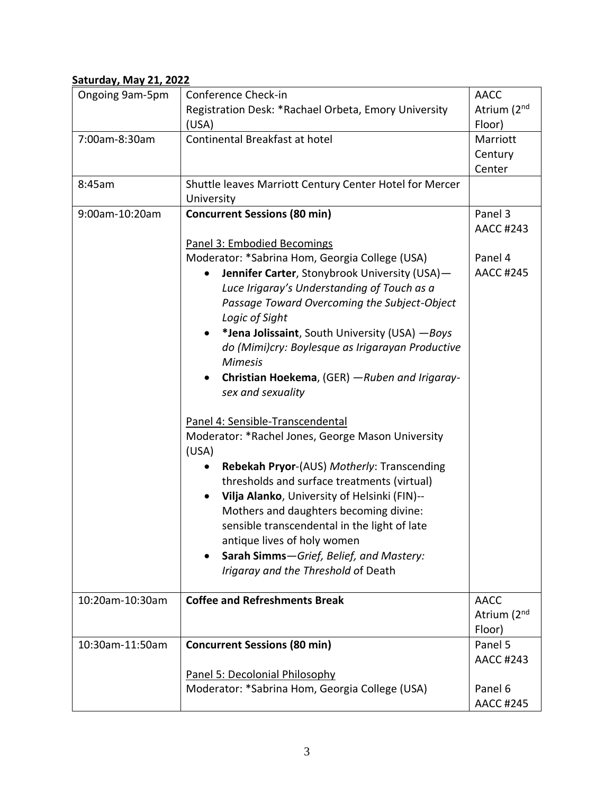# **Saturday, May 21, 2022**

| Ongoing 9am-5pm | Conference Check-in                                         | <b>AACC</b>             |
|-----------------|-------------------------------------------------------------|-------------------------|
|                 | Registration Desk: *Rachael Orbeta, Emory University        | Atrium (2nd             |
|                 | (USA)                                                       | Floor)                  |
| 7:00am-8:30am   | Continental Breakfast at hotel                              | Marriott                |
|                 |                                                             | Century                 |
|                 |                                                             | Center                  |
| 8:45am          | Shuttle leaves Marriott Century Center Hotel for Mercer     |                         |
|                 | University                                                  |                         |
| 9:00am-10:20am  | <b>Concurrent Sessions (80 min)</b>                         | Panel 3                 |
|                 |                                                             | <b>AACC #243</b>        |
|                 | Panel 3: Embodied Becomings                                 |                         |
|                 | Moderator: *Sabrina Hom, Georgia College (USA)              | Panel 4                 |
|                 | Jennifer Carter, Stonybrook University (USA)-               | <b>AACC #245</b>        |
|                 | Luce Irigaray's Understanding of Touch as a                 |                         |
|                 | Passage Toward Overcoming the Subject-Object                |                         |
|                 | Logic of Sight                                              |                         |
|                 |                                                             |                         |
|                 | *Jena Jolissaint, South University (USA) - Boys             |                         |
|                 | do (Mimi)cry: Boylesque as Irigarayan Productive            |                         |
|                 | <b>Mimesis</b>                                              |                         |
|                 | Christian Hoekema, (GER) - Ruben and Irigaray-<br>$\bullet$ |                         |
|                 | sex and sexuality                                           |                         |
|                 |                                                             |                         |
|                 | Panel 4: Sensible-Transcendental                            |                         |
|                 | Moderator: *Rachel Jones, George Mason University<br>(USA)  |                         |
|                 | Rebekah Pryor-(AUS) Motherly: Transcending                  |                         |
|                 | thresholds and surface treatments (virtual)                 |                         |
|                 | Vilja Alanko, University of Helsinki (FIN)--                |                         |
|                 | Mothers and daughters becoming divine:                      |                         |
|                 | sensible transcendental in the light of late                |                         |
|                 | antique lives of holy women                                 |                         |
|                 | Sarah Simms-Grief, Belief, and Mastery:                     |                         |
|                 | Irigaray and the Threshold of Death                         |                         |
|                 |                                                             |                         |
| 10:20am-10:30am | <b>Coffee and Refreshments Break</b>                        | <b>AACC</b>             |
|                 |                                                             | Atrium (2 <sup>nd</sup> |
|                 |                                                             | Floor)                  |
| 10:30am-11:50am | <b>Concurrent Sessions (80 min)</b>                         | Panel 5                 |
|                 |                                                             | <b>AACC #243</b>        |
|                 | Panel 5: Decolonial Philosophy                              |                         |
|                 | Moderator: *Sabrina Hom, Georgia College (USA)              | Panel 6                 |
|                 |                                                             | <b>AACC #245</b>        |
|                 |                                                             |                         |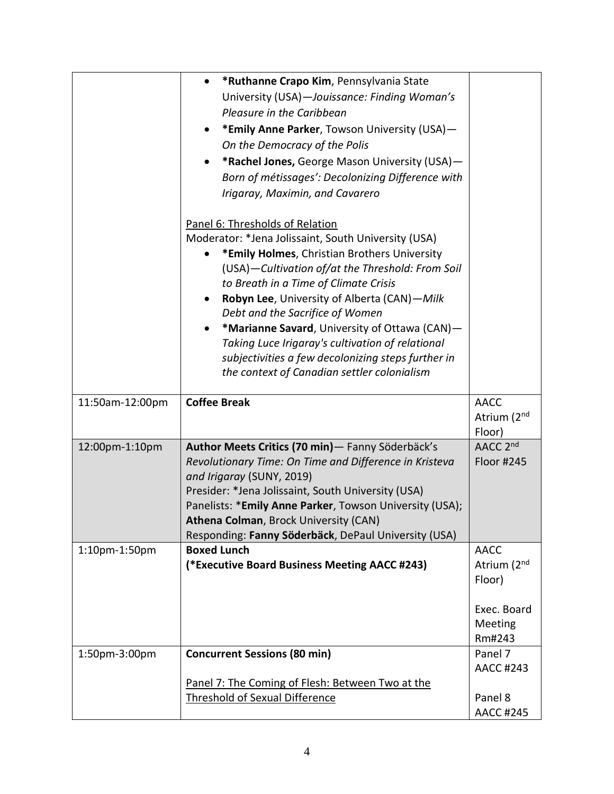|                 | *Ruthanne Crapo Kim, Pennsylvania State<br>$\bullet$<br>University (USA)-Jouissance: Finding Woman's<br>Pleasure in the Caribbean<br>*Emily Anne Parker, Towson University (USA)-<br>$\bullet$<br>On the Democracy of the Polis<br>*Rachel Jones, George Mason University (USA)-<br>Born of métissages': Decolonizing Difference with<br>Irigaray, Maximin, and Cavarero<br>Panel 6: Thresholds of Relation<br>Moderator: *Jena Jolissaint, South University (USA)<br>*Emily Holmes, Christian Brothers University<br>(USA)-Cultivation of/at the Threshold: From Soil<br>to Breath in a Time of Climate Crisis<br>Robyn Lee, University of Alberta (CAN)-Milk<br>$\bullet$ |                                                                          |
|-----------------|-----------------------------------------------------------------------------------------------------------------------------------------------------------------------------------------------------------------------------------------------------------------------------------------------------------------------------------------------------------------------------------------------------------------------------------------------------------------------------------------------------------------------------------------------------------------------------------------------------------------------------------------------------------------------------|--------------------------------------------------------------------------|
|                 | Debt and the Sacrifice of Women<br>*Marianne Savard, University of Ottawa (CAN)-<br>$\bullet$<br>Taking Luce Irigaray's cultivation of relational<br>subjectivities a few decolonizing steps further in<br>the context of Canadian settler colonialism                                                                                                                                                                                                                                                                                                                                                                                                                      |                                                                          |
| 11:50am-12:00pm | <b>Coffee Break</b>                                                                                                                                                                                                                                                                                                                                                                                                                                                                                                                                                                                                                                                         | <b>AACC</b><br>Atrium (2 <sup>nd</sup><br>Floor)                         |
| 12:00pm-1:10pm  | Author Meets Critics (70 min) - Fanny Söderbäck's<br>Revolutionary Time: On Time and Difference in Kristeva<br>and Irigaray (SUNY, 2019)<br>Presider: *Jena Jolissaint, South University (USA)<br>Panelists: *Emily Anne Parker, Towson University (USA);                                                                                                                                                                                                                                                                                                                                                                                                                   | AACC 2 <sup>nd</sup><br>Floor #245                                       |
|                 | Athena Colman, Brock University (CAN)<br>Responding: Fanny Söderbäck, DePaul University (USA)                                                                                                                                                                                                                                                                                                                                                                                                                                                                                                                                                                               |                                                                          |
| 1:10pm-1:50pm   | <b>Boxed Lunch</b><br>(*Executive Board Business Meeting AACC #243)                                                                                                                                                                                                                                                                                                                                                                                                                                                                                                                                                                                                         | <b>AACC</b><br>Atrium (2nd<br>Floor)<br>Exec. Board<br>Meeting<br>Rm#243 |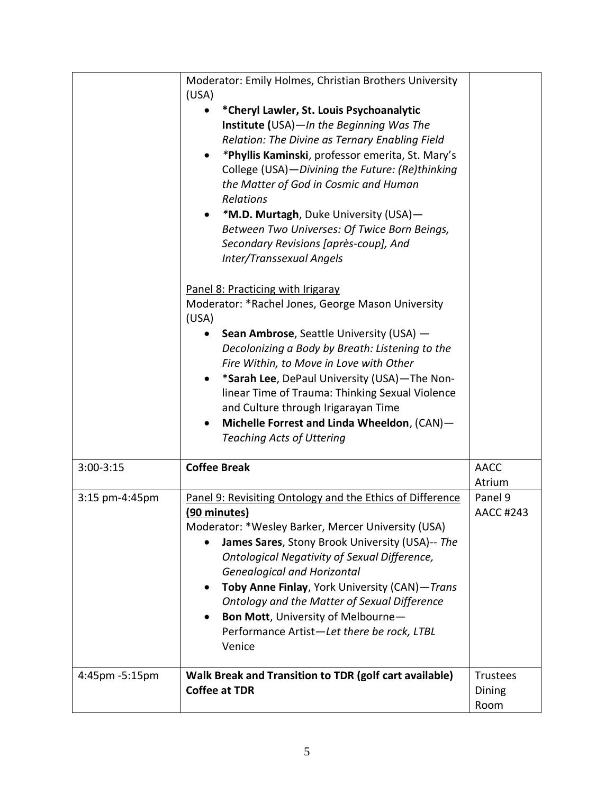|                | Moderator: Emily Holmes, Christian Brothers University<br>(USA)<br>*Cheryl Lawler, St. Louis Psychoanalytic<br>Institute (USA)-In the Beginning Was The<br>Relation: The Divine as Ternary Enabling Field<br>*Phyllis Kaminski, professor emerita, St. Mary's<br>College (USA)-Divining the Future: (Re)thinking<br>the Matter of God in Cosmic and Human<br>Relations<br>*M.D. Murtagh, Duke University (USA)-<br>Between Two Universes: Of Twice Born Beings,<br>Secondary Revisions [après-coup], And<br>Inter/Transsexual Angels<br>Panel 8: Practicing with Irigaray<br>Moderator: *Rachel Jones, George Mason University<br>(USA)<br>Sean Ambrose, Seattle University (USA) -<br>Decolonizing a Body by Breath: Listening to the<br>Fire Within, to Move in Love with Other<br>*Sarah Lee, DePaul University (USA)-The Non-<br>linear Time of Trauma: Thinking Sexual Violence<br>and Culture through Irigarayan Time<br>Michelle Forrest and Linda Wheeldon, (CAN)-<br>$\bullet$<br><b>Teaching Acts of Uttering</b> |                                   |
|----------------|-----------------------------------------------------------------------------------------------------------------------------------------------------------------------------------------------------------------------------------------------------------------------------------------------------------------------------------------------------------------------------------------------------------------------------------------------------------------------------------------------------------------------------------------------------------------------------------------------------------------------------------------------------------------------------------------------------------------------------------------------------------------------------------------------------------------------------------------------------------------------------------------------------------------------------------------------------------------------------------------------------------------------------|-----------------------------------|
| $3:00-3:15$    | <b>Coffee Break</b>                                                                                                                                                                                                                                                                                                                                                                                                                                                                                                                                                                                                                                                                                                                                                                                                                                                                                                                                                                                                         | <b>AACC</b><br>Atrium             |
| 3:15 pm-4:45pm | Panel 9: Revisiting Ontology and the Ethics of Difference<br>(90 minutes)<br>Moderator: *Wesley Barker, Mercer University (USA)<br>James Sares, Stony Brook University (USA)-- The<br>Ontological Negativity of Sexual Difference,<br><b>Genealogical and Horizontal</b><br>Toby Anne Finlay, York University (CAN)-Trans<br>Ontology and the Matter of Sexual Difference<br>Bon Mott, University of Melbourne-<br>Performance Artist-Let there be rock, LTBL<br>Venice                                                                                                                                                                                                                                                                                                                                                                                                                                                                                                                                                     | Panel 9<br><b>AACC #243</b>       |
| 4:45pm -5:15pm | Walk Break and Transition to TDR (golf cart available)<br><b>Coffee at TDR</b>                                                                                                                                                                                                                                                                                                                                                                                                                                                                                                                                                                                                                                                                                                                                                                                                                                                                                                                                              | <b>Trustees</b><br>Dining<br>Room |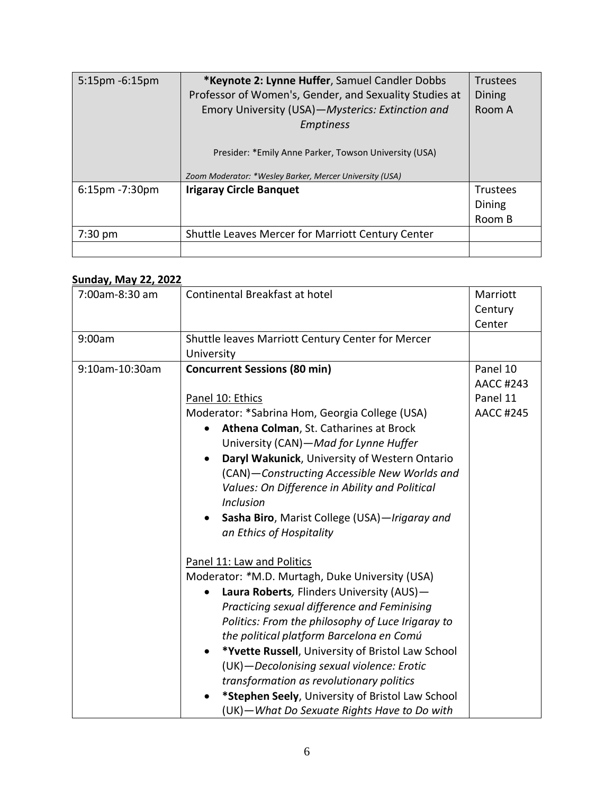| $5:15$ pm $-6:15$ pm | *Keynote 2: Lynne Huffer, Samuel Candler Dobbs          | <b>Trustees</b> |
|----------------------|---------------------------------------------------------|-----------------|
|                      | Professor of Women's, Gender, and Sexuality Studies at  | Dining          |
|                      | Emory University (USA)-Mysterics: Extinction and        | Room A          |
|                      | <b>Emptiness</b>                                        |                 |
|                      |                                                         |                 |
|                      | Presider: *Emily Anne Parker, Towson University (USA)   |                 |
|                      | Zoom Moderator: *Wesley Barker, Mercer University (USA) |                 |
| $6:15$ pm $-7:30$ pm | <b>Irigaray Circle Banquet</b>                          | <b>Trustees</b> |
|                      |                                                         | Dining          |
|                      |                                                         | Room B          |
| $7:30 \text{ pm}$    | Shuttle Leaves Mercer for Marriott Century Center       |                 |
|                      |                                                         |                 |

# **Sunday, May 22, 2022**

| 7:00am-8:30 am | Continental Breakfast at hotel                                 | Marriott         |
|----------------|----------------------------------------------------------------|------------------|
|                |                                                                | Century          |
|                |                                                                | Center           |
| 9:00am         | Shuttle leaves Marriott Century Center for Mercer              |                  |
|                | University                                                     |                  |
| 9:10am-10:30am |                                                                | Panel 10         |
|                | <b>Concurrent Sessions (80 min)</b>                            |                  |
|                |                                                                | <b>AACC #243</b> |
|                | Panel 10: Ethics                                               | Panel 11         |
|                | Moderator: *Sabrina Hom, Georgia College (USA)                 | <b>AACC #245</b> |
|                | Athena Colman, St. Catharines at Brock                         |                  |
|                | University (CAN)-Mad for Lynne Huffer                          |                  |
|                | Daryl Wakunick, University of Western Ontario                  |                  |
|                | (CAN)-Constructing Accessible New Worlds and                   |                  |
|                | Values: On Difference in Ability and Political                 |                  |
|                | <b>Inclusion</b>                                               |                  |
|                | Sasha Biro, Marist College (USA)-Irigaray and                  |                  |
|                | an Ethics of Hospitality                                       |                  |
|                |                                                                |                  |
|                | Panel 11: Law and Politics                                     |                  |
|                | Moderator: *M.D. Murtagh, Duke University (USA)                |                  |
|                | Laura Roberts, Flinders University (AUS)-                      |                  |
|                | Practicing sexual difference and Feminising                    |                  |
|                | Politics: From the philosophy of Luce Irigaray to              |                  |
|                | the political platform Barcelona en Comú                       |                  |
|                | *Yvette Russell, University of Bristol Law School<br>$\bullet$ |                  |
|                |                                                                |                  |
|                | (UK)-Decolonising sexual violence: Erotic                      |                  |
|                | transformation as revolutionary politics                       |                  |
|                | *Stephen Seely, University of Bristol Law School               |                  |
|                | (UK) - What Do Sexuate Rights Have to Do with                  |                  |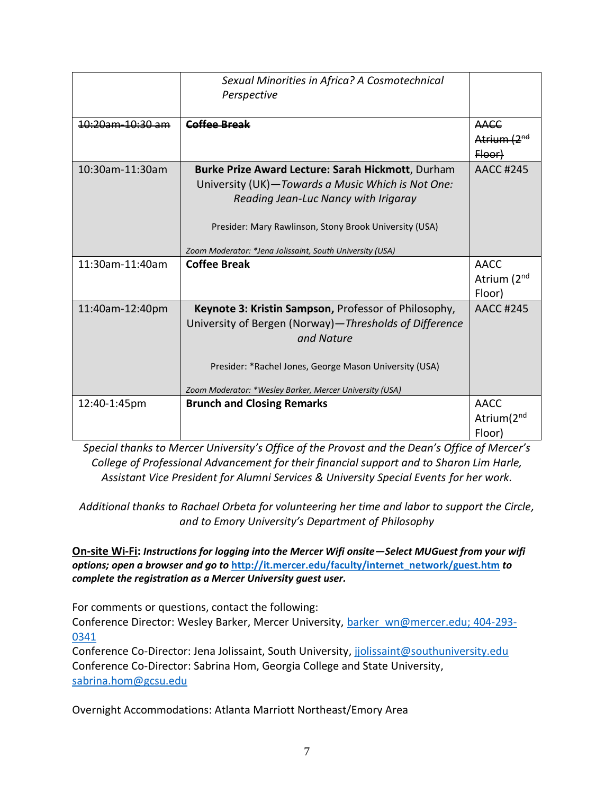|                             | Sexual Minorities in Africa? A Cosmotechnical            |                         |
|-----------------------------|----------------------------------------------------------|-------------------------|
|                             | Perspective                                              |                         |
|                             |                                                          |                         |
| <del>10:20am-10:30 am</del> | Coffee Break                                             | <b>AACC</b>             |
|                             |                                                          | Atrium (2 <sup>nd</sup> |
|                             |                                                          | Floor)                  |
| 10:30am-11:30am             | Burke Prize Award Lecture: Sarah Hickmott, Durham        | AACC #245               |
|                             | University (UK)-Towards a Music Which is Not One:        |                         |
|                             | Reading Jean-Luc Nancy with Irigaray                     |                         |
|                             |                                                          |                         |
|                             | Presider: Mary Rawlinson, Stony Brook University (USA)   |                         |
|                             |                                                          |                         |
|                             | Zoom Moderator: *Jena Jolissaint, South University (USA) |                         |
| 11:30am-11:40am             | <b>Coffee Break</b>                                      | <b>AACC</b>             |
|                             |                                                          | Atrium (2 <sup>nd</sup> |
|                             |                                                          | Floor)                  |
| 11:40am-12:40pm             | Keynote 3: Kristin Sampson, Professor of Philosophy,     | <b>AACC #245</b>        |
|                             | University of Bergen (Norway)-Thresholds of Difference   |                         |
|                             | and Nature                                               |                         |
|                             |                                                          |                         |
|                             | Presider: *Rachel Jones, George Mason University (USA)   |                         |
|                             |                                                          |                         |
|                             | Zoom Moderator: *Wesley Barker, Mercer University (USA)  |                         |
| 12:40-1:45pm                | <b>Brunch and Closing Remarks</b>                        | AACC                    |
|                             |                                                          | Atrium(2 <sup>nd</sup>  |
|                             |                                                          | Floor)                  |

*Special thanks to Mercer University's Office of the Provost and the Dean's Office of Mercer's College of Professional Advancement for their financial support and to Sharon Lim Harle, Assistant Vice President for Alumni Services & University Special Events for her work.*

*Additional thanks to Rachael Orbeta for volunteering her time and labor to support the Circle, and to Emory University's Department of Philosophy*

**On-site Wi-Fi:** *Instructions for logging into the Mercer Wifi onsite—Select MUGuest from your wifi options; open a browser and go to* **[http://it.mercer.edu/faculty/internet\\_network/guest.htm](http://it.mercer.edu/faculty/internet_network/guest.htm)** *to complete the registration as a Mercer University guest user.*

For comments or questions, contact the following:

Conference Director: Wesley Barker, Mercer University, [barker\\_wn@mercer.edu;](mailto:barker_wn@mercer.edu) 404-293- 0341

Conference Co-Director: Jena Jolissaint, South University, [jjolissaint@southuniversity.edu](mailto:jjolissaint@southuniversity.edu) Conference Co-Director: Sabrina Hom, Georgia College and State University, [sabrina.hom@gcsu.edu](mailto:sabrina.hom@gcsu.edu)

Overnight Accommodations: Atlanta Marriott Northeast/Emory Area